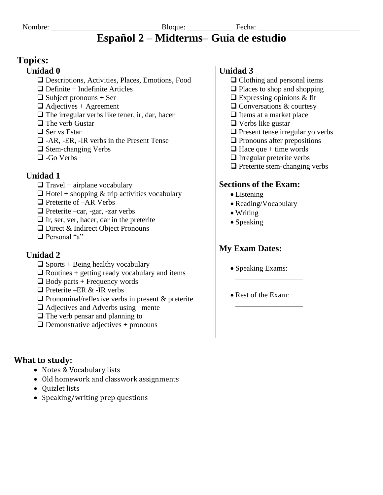# **Topics:**

## **Unidad 0**

- Descriptions, Activities, Places, Emotions, Food
- $\Box$  Definite + Indefinite Articles
- $\Box$  Subject pronouns + Ser
- $\Box$  Adjectives + Agreement
- $\Box$  The irregular verbs like tener, ir, dar, hacer
- $\Box$  The verb Gustar
- $\Box$  Ser vs Estar
- $\Box$  -AR, -ER, -IR verbs in the Present Tense
- $\Box$  Stem-changing Verbs
- $\Box$  -Go Verbs

## **Unidad 1**

- $\Box$  Travel + airplane vocabulary
- $\Box$  Hotel + shopping & trip activities vocabulary
- $\Box$  Preterite of  $-AR$  Verbs
- $\Box$  Preterite –car, -gar, -zar verbs
- $\Box$  Ir, ser, ver, hacer, dar in the preterite
- $\Box$  Direct & Indirect Object Pronouns
- $\Box$  Personal "a"

## **Unidad 2**

- $\Box$  Sports + Being healthy vocabulary
- $\Box$  Routines + getting ready vocabulary and items
- $\Box$  Body parts + Frequency words
- $\Box$  Preterite –ER & -IR verbs
- $\Box$  Pronominal/reflexive verbs in present & preterite
- $\Box$  Adjectives and Adverbs using –mente
- $\Box$  The verb pensar and planning to
- $\Box$  Demonstrative adjectives + pronouns

## What to study:

- Notes & Vocabulary lists
- Old homework and classwork assignments
- Quizlet lists
- Speaking/writing prep questions

## **Unidad 3**

- $\Box$  Clothing and personal items
- $\Box$  Places to shop and shopping
- $\Box$  Expressing opinions & fit
- $\Box$  Conversations & courtesy
- $\Box$  Items at a market place
- $\Box$  Verbs like gustar
- $\Box$  Present tense irregular yo verbs
- $\Box$  Pronouns after prepositions
- $\Box$  Hace que + time words
- $\Box$  Irregular preterite verbs
- $\Box$  Preterite stem-changing verbs

## **Sections of the Exam:**

- $\bullet$  Listening
- Reading/Vocabulary
- $\bullet$  Writing
- $\bullet$  Speaking

# **My Exam Dates:**

- Speaking Exams:
- Rest of the Exam: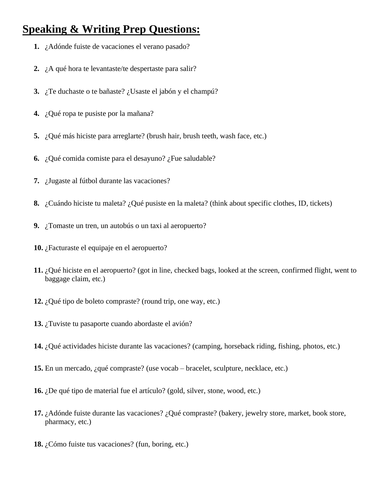# **Speaking & Writing Prep Questions:**

- **1.** ¿Adónde fuiste de vacaciones el verano pasado?
- **2.** ¿A qué hora te levantaste/te despertaste para salir?
- **3.** ¿Te duchaste o te bañaste? ¿Usaste el jabón y el champú?
- **4.** ¿Qué ropa te pusiste por la mañana?
- **5.** ¿Qué más hiciste para arreglarte? (brush hair, brush teeth, wash face, etc.)
- **6.** ¿Qué comida comiste para el desayuno? ¿Fue saludable?
- **7.** ¿Jugaste al fútbol durante las vacaciones?
- **8.** ¿Cuándo hiciste tu maleta? ¿Qué pusiste en la maleta? (think about specific clothes, ID, tickets)
- **9.** ¿Tomaste un tren, un autobús o un taxi al aeropuerto?
- **10.** ¿Facturaste el equipaje en el aeropuerto?
- **11.** ¿Qué hiciste en el aeropuerto? (got in line, checked bags, looked at the screen, confirmed flight, went to baggage claim, etc.)
- **12.** ¿Qué tipo de boleto compraste? (round trip, one way, etc.)
- **13.** ¿Tuviste tu pasaporte cuando abordaste el avión?
- **14.** ¿Qué actividades hiciste durante las vacaciones? (camping, horseback riding, fishing, photos, etc.)
- **15.** En un mercado, ¿qué compraste? (use vocab bracelet, sculpture, necklace, etc.)
- **16.** ¿De qué tipo de material fue el artículo? (gold, silver, stone, wood, etc.)
- **17.** ¿Adónde fuiste durante las vacaciones? ¿Qué compraste? (bakery, jewelry store, market, book store, pharmacy, etc.)
- **18.** ¿Cómo fuiste tus vacaciones? (fun, boring, etc.)